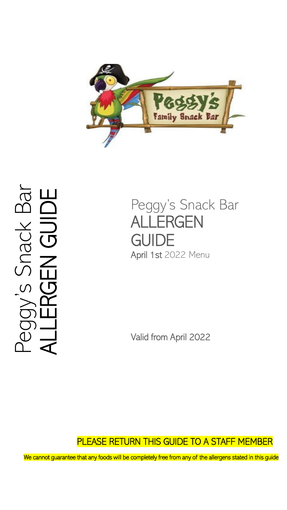

Snack Bar<br>**IEN GUIDE** Peggy's Snack Bar ALLERGEN GUIDE  $\overline{C}$ 

Peggy's Snack Bar ALLERGEN **GUIDE** April 1st 2022 Menu

Valid from April 2022

PLEASE RETURN THIS GUIDE TO A STAFF MEMBER

We cannot guarantee that any foods will be completely free from any of the allergens stated in this guide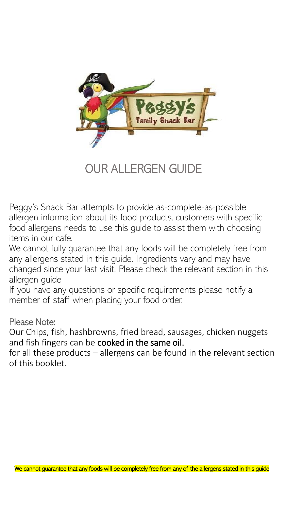

OUR ALLERGEN GUIDE

Peggy's Snack Bar attempts to provide as-complete-as-possible allergen information about its food products, customers with specific food allergens needs to use this guide to assist them with choosing items in our cafe.

We cannot fully guarantee that any foods will be completely free from any allergens stated in this guide. Ingredients vary and may have changed since your last visit. Please check the relevant section in this allergen guide

If you have any questions or specific requirements please notify a member of staff when placing your food order.

Please Note:

Our Chips, fish, hashbrowns, fried bread, sausages, chicken nuggets and fish fingers can be cooked in the same oil.

for all these products – allergens can be found in the relevant section of this booklet.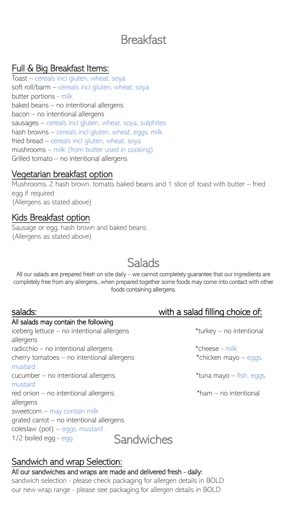# **Breakfast**

## Full & Big Breakfast Items:

Toast – cereals incl gluten, wheat, soya soft roll/barm – cereals incl gluten, wheat, soya butter portions - milk baked beans – no intentional allergens bacon – no intentional allergens sausages – cereals incl gluten, wheat, soya, sulphites hash browns – cereals incl gluten, wheat, eggs, milk fried bread – cereals incl gluten, wheat, soya mushrooms – milk (from butter used in cooking) Grilled tomato – no intentional allergens

## Vegetarian breakfast option

Mushrooms, 2 hash brown, tomato, baked beans and 1 slice of toast with butter – fried egg if required (Allergens as stated above)

## Kids Breakfast option

Sausage or egg, hash brown and baked beans (Allergens as stated above)

# **Salads**

All our salads are prepared fresh on site daily – we cannot completely guarantee that our ingredients are completely free from any allergens., when prepared together some foods may come into contact with other foods containing allergens.

#### salads: salads: salad filling choice of: All salads may contain the following iceberg lettuce – no intentional allergens \*turkey – no intentional allergens radicchio – no intentional allergens  $*$ cheese - milk cherry tomatoes – no intentional allergens  $*$ chicken mayo – eggs, mustard cucumber – no intentional allergens \*tuna mayo – fish, eggs, mustard red onion – no intentional allergens  $*$ ham – no intentional allergens sweetcorn – may contain milk grated carrot – no intentional allergens coleslaw (pot) – eggs, mustard 1/2 boiled egg - egg Sandwiches

## Sandwich and wrap Selection:

#### All our sandwiches and wraps are made and delivered fresh - daily:

sandwich selection - please check packaging for allergen details in BOLD our new wrap range - please see packaging for allergen details in BOLD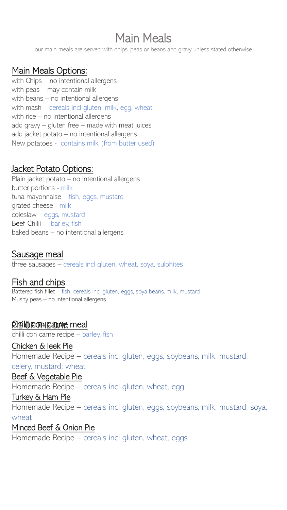# Main Meals

our main meals are served with chips, peas or beans and gravy unless stated otherwise

## Main Meals Options:

with Chips – no intentional allergens with peas – may contain milk with beans – no intentional allergens with mash – cereals incl gluten, milk, egg, wheat with rice – no intentional allergens add gravy – gluten free – made with meat juices add jacket potato – no intentional allergens New potatoes - contains milk (from butter used)

## Jacket Potato Options:

Plain jacket potato – no intentional allergens butter portions - milk tuna mayonnaise – fish, eggs, mustard grated cheese - milk coleslaw – eggs, mustard Beef Chilli – barley, fish baked beans – no intentional allergens

## Sausage meal

three sausages – cereals incl gluten, wheat, soya, sulphites

## Fish and chips

Battered fish fillet – fish, cereals incl gluten, eggs, soya beans, milk, mustard Mushy peas – no intentional allergens

## <u>Philibron canne</u> meal

chilli con carne recipe – barley, fish

### Chicken & leek Pie

Homemade Recipe – cereals incl gluten, eggs, soybeans, milk, mustard, celery, mustard, wheat

#### Beef & Vegetable Pie

Homemade Recipe – cereals incl gluten, wheat, egg

#### Turkey & Ham Pie

Homemade Recipe – cereals incl gluten, eggs, soybeans, milk, mustard, soya, wheat

#### Minced Beef & Onion Pie

Homemade Recipe – cereals incl gluten, wheat, eggs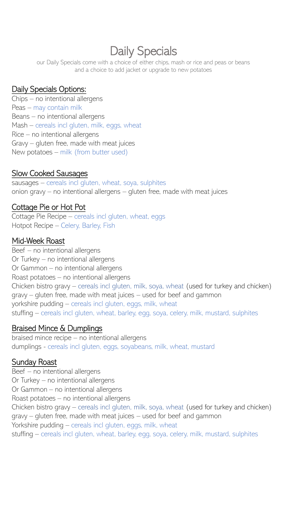# Daily Specials

our Daily Specials come with a choice of either chips, mash or rice and peas or beans and a choice to add jacket or upgrade to new potatoes

### Daily Specials Options:

Chips – no intentional allergens Peas – may contain milk Beans – no intentional allergens Mash – cereals incl gluten, milk, eggs, wheat Rice – no intentional allergens Gravy – gluten free, made with meat juices New potatoes – milk (from butter used)

### Slow Cooked Sausages

sausages – cereals incl gluten, wheat, soya, sulphites onion gravy – no intentional allergens – gluten free, made with meat juices

### Cottage Pie or Hot Pot

Cottage Pie Recipe – cereals incl gluten, wheat, eggs Hotpot Recipe – Celery, Barley, Fish

#### Mid-Week Roast

Beef – no intentional allergens Or Turkey – no intentional allergens Or Gammon – no intentional allergens Roast potatoes – no intentional allergens Chicken bistro gravy – cereals incl gluten, milk, soya, wheat (used for turkey and chicken) gravy – gluten free, made with meat juices – used for beef and gammon yorkshire pudding – cereals incl gluten, eggs, milk, wheat stuffing – cereals incl gluten, wheat, barley, egg, soya, celery, milk, mustard, sulphites

### Braised Mince & Dumplings

braised mince recipe – no intentional allergens dumplings - cereals incl gluten, eggs, soyabeans, milk, wheat, mustard

### Sunday Roast

Beef – no intentional allergens Or Turkey – no intentional allergens Or Gammon – no intentional allergens Roast potatoes – no intentional allergens Chicken bistro gravy – cereals incl gluten, milk, soya, wheat (used for turkey and chicken) gravy – gluten free, made with meat juices – used for beef and gammon Yorkshire pudding – cereals incl gluten, eggs, milk, wheat stuffing – cereals incl gluten, wheat, barley, egg, soya, celery, milk, mustard, sulphites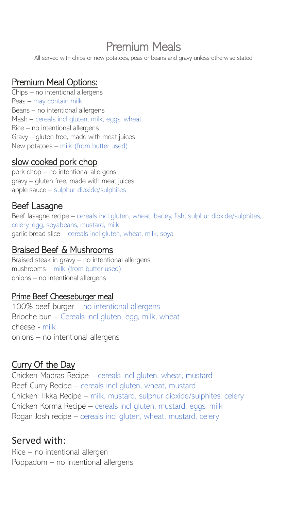# Premium Meals

All served with chips or new potatoes, peas or beans and gravy unless otherwise stated

# Premium Meal Options:

Chips – no intentional allergens Peas – may contain milk Beans – no intentional allergens Mash – cereals incl gluten, milk, eggs, wheat Rice – no intentional allergens Gravy – gluten free, made with meat juices New potatoes – milk (from butter used)

## slow cooked pork chop

pork chop – no intentional allergens gravy – gluten free, made with meat juices apple sauce – sulphur dioxide/sulphites

### Beef Lasagne

Beef lasagne recipe – cereals incl gluten, wheat, barley, fish, sulphur dioxide/sulphites, celery, egg, soyabeans, mustard, milk garlic bread slice – cereals incl gluten, wheat, milk, soya

### Braised Beef & Mushrooms

Braised steak in gravy – no intentional allergens mushrooms – milk (from butter used) onions – no intentional allergens

#### Prime Beef Cheeseburger meal

100% beef burger – no intentional allergens Brioche bun – Cereals incl gluten, egg, milk, wheat cheese - milk onions – no intentional allergens

## Curry Of the Day

Chicken Madras Recipe – cereals incl gluten, wheat, mustard Beef Curry Recipe – cereals incl gluten, wheat, mustard Chicken Tikka Recipe – milk, mustard, sulphur dioxide/sulphites, celery Chicken Korma Recipe – cereals incl gluten, mustard, eggs, milk Rogan Josh recipe – cereals incl gluten, wheat, mustard, celery

## Served with:

Rice – no intentional allergen Poppadom – no intentional allergens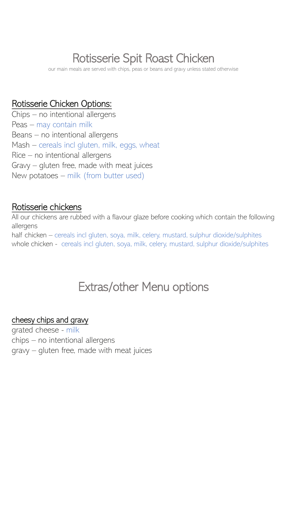# Rotisserie Spit Roast Chicken

our main meals are served with chips, peas or beans and gravy unless stated otherwise

## Rotisserie Chicken Options:

Chips – no intentional allergens Peas – may contain milk Beans – no intentional allergens Mash – cereals incl gluten, milk, eggs, wheat Rice – no intentional allergens Gravy – gluten free, made with meat juices New potatoes – milk (from butter used)

## Rotisserie chickens

All our chickens are rubbed with a flavour glaze before cooking which contain the following allergens half chicken – cereals incl gluten, soya, milk, celery, mustard, sulphur dioxide/sulphites whole chicken - cereals incl gluten, soya, milk, celery, mustard, sulphur dioxide/sulphites

# Extras/other Menu options

#### cheesy chips and gravy

grated cheese - milk chips – no intentional allergens gravy – gluten free, made with meat juices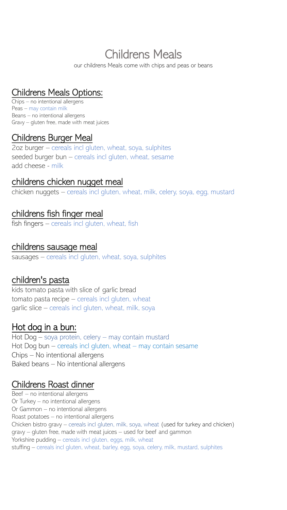# Childrens Meals

our childrens Meals come with chips and peas or beans

## Childrens Meals Options:

Chips – no intentional allergens Peas – may contain milk Beans – no intentional allergens Gravy – gluten free, made with meat juices

### Childrens Burger Meal

2oz burger – cereals incl gluten, wheat, soya, sulphites seeded burger bun – cereals incl gluten, wheat, sesame add cheese - milk

### childrens chicken nugget meal

chicken nuggets – cereals incl gluten, wheat, milk, celery, soya, egg, mustard

### childrens fish finger meal

fish fingers – cereals incl gluten, wheat, fish

#### childrens sausage meal

sausages – cereals incl gluten, wheat, soya, sulphites

### children's pasta

kids tomato pasta with slice of garlic bread tomato pasta recipe – cereals incl gluten, wheat garlic slice – cereals incl gluten, wheat, milk, soya

## Hot dog in a bun:

Hot Dog – soya protein, celery – may contain mustard Hot Dog bun – cereals incl gluten, wheat – may contain sesame Chips – No intentional allergens Baked beans – No intentional allergens

## Childrens Roast dinner

Beef – no intentional allergens Or Turkey – no intentional allergens Or Gammon – no intentional allergens Roast potatoes – no intentional allergens Chicken bistro gravy – cereals incl gluten, milk, soya, wheat (used for turkey and chicken) gravy – gluten free, made with meat juices – used for beef and gammon Yorkshire pudding – cereals incl gluten, eggs, milk, wheat stuffing – cereals incl gluten, wheat, barley, egg, soya, celery, milk, mustard, sulphites